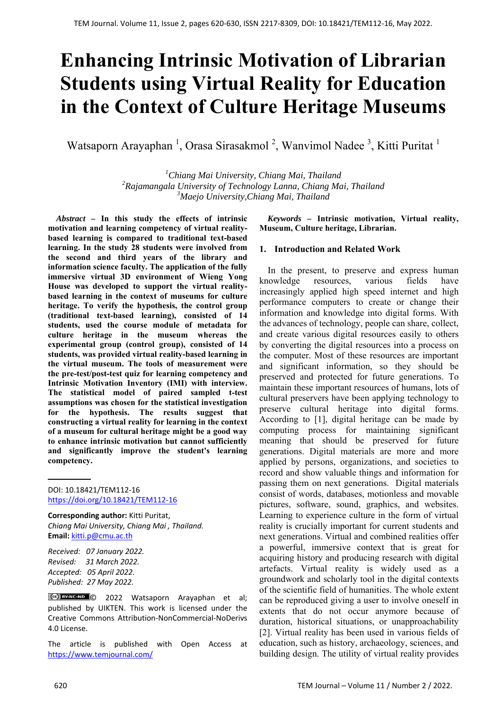# **Enhancing Intrinsic Motivation of Librarian Students using Virtual Reality for Education in the Context of Culture Heritage Museums**

Watsaporn Arayaphan<sup>1</sup>, Orasa Sirasakmol<sup>2</sup>, Wanvimol Nadee<sup>3</sup>, Kitti Puritat<sup>1</sup>

*1 Chiang Mai University, Chiang Mai, Thailand 2 Rajamangala University of Technology Lanna, Chiang Mai, Thailand 3 Maejo University,Chiang Mai, Thailand*

*Abstract –* **In this study the effects of intrinsic motivation and learning competency of virtual realitybased learning is compared to traditional text-based learning. In the study 28 students were involved from the second and third years of the library and information science faculty. The application of the fully immersive virtual 3D environment of Wieng Yong House was developed to support the virtual realitybased learning in the context of museums for culture heritage. To verify the hypothesis, the control group (traditional text-based learning), consisted of 14 students, used the course module of metadata for culture heritage in the museum whereas the experimental group (control group), consisted of 14 students, was provided virtual reality-based learning in the virtual museum. The tools of measurement were the pre-test/post-test quiz for learning competency and Intrinsic Motivation Inventory (IMI) with interview. The statistical model of paired sampled t-test assumptions was chosen for the statistical investigation for the hypothesis. The results suggest that constructing a virtual reality for learning in the context of a museum for cultural heritage might be a good way to enhance intrinsic motivation but cannot sufficiently and significantly improve the student's learning competency.**

DOI: 10.18421/TEM112-16 [https://doi.org/10.18421/TEM112](https://doi.org/10.18421/TEM112-16)-16

**Corresponding author:** Kitti Puritat, *Chiang Mai University, Chiang Mai , Thailand.*  **Email:** kitti.p@cmu.ac.th

*Received: 07 January 2022. Revised: 31 March 2022. Accepted: 05 April 2022. Published: 27 May 2022.* 

CC BY-NC-ND C 2022 Watsaporn Arayaphan et al; published by UIKTEN. This work is licensed under the Creative Commons Attribution‐NonCommercial‐NoDerivs 4.0 License.

The article is published with Open Access at https://www.temjournal.com/

*Keywords –* **Intrinsic motivation, Virtual reality, Museum, Culture heritage, Librarian.** 

### **1. Introduction and Related Work**

In the present, to preserve and express human knowledge resources, various fields have increasingly applied high speed internet and high performance computers to create or change their information and knowledge into digital forms. With the advances of technology, people can share, collect, and create various digital resources easily to others by converting the digital resources into a process on the computer. Most of these resources are important and significant information, so they should be preserved and protected for future generations. To maintain these important resources of humans, lots of cultural preservers have been applying technology to preserve cultural heritage into digital forms. According to [1], digital heritage can be made by computing process for maintaining significant meaning that should be preserved for future generations. Digital materials are more and more applied by persons, organizations, and societies to record and show valuable things and information for passing them on next generations. Digital materials consist of words, databases, motionless and movable pictures, software, sound, graphics, and websites. Learning to experience culture in the form of virtual reality is crucially important for current students and next generations. Virtual and combined realities offer a powerful, immersive context that is great for acquiring history and producing research with digital artefacts. Virtual reality is widely used as a groundwork and scholarly tool in the digital contexts of the scientific field of humanities. The whole extent can be reproduced giving a user to involve oneself in extents that do not occur anymore because of duration, historical situations, or unapproachability [2]. Virtual reality has been used in various fields of education, such as history, archaeology, sciences, and building design. The utility of virtual reality provides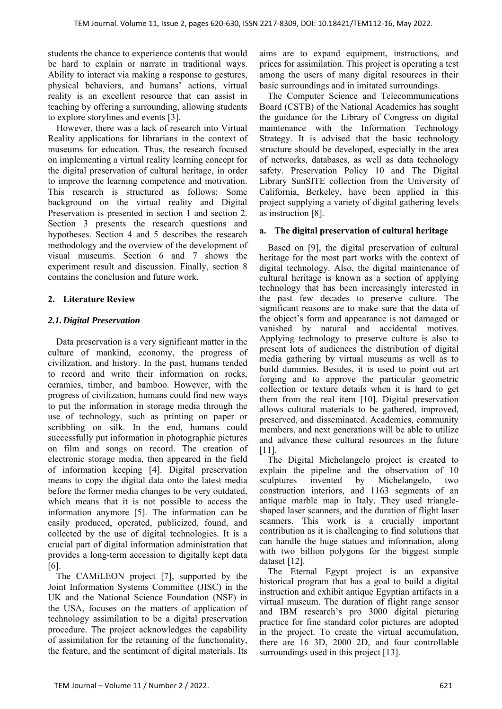students the chance to experience contents that would be hard to explain or narrate in traditional ways. Ability to interact via making a response to gestures, physical behaviors, and humans' actions, virtual reality is an excellent resource that can assist in teaching by offering a surrounding, allowing students to explore storylines and events [3].

However, there was a lack of research into Virtual Reality applications for librarians in the context of museums for education. Thus, the research focused on implementing a virtual reality learning concept for the digital preservation of cultural heritage, in order to improve the learning competence and motivation. This research is structured as follows: Some background on the virtual reality and Digital Preservation is presented in section 1 and section 2. Section 3 presents the research questions and hypotheses. Section 4 and 5 describes the research methodology and the overview of the development of visual museums. Section 6 and 7 shows the experiment result and discussion. Finally, section 8 contains the conclusion and future work.

## **2. Literature Review**

## *2.1.Digital Preservation*

Data preservation is a very significant matter in the culture of mankind, economy, the progress of civilization, and history. In the past, humans tended to record and write their information on rocks, ceramics, timber, and bamboo. However, with the progress of civilization, humans could find new ways to put the information in storage media through the use of technology, such as printing on paper or scribbling on silk. In the end, humans could successfully put information in photographic pictures on film and songs on record. The creation of electronic storage media, then appeared in the field of information keeping [4]. Digital preservation means to copy the digital data onto the latest media before the former media changes to be very outdated, which means that it is not possible to access the information anymore [5]. The information can be easily produced, operated, publicized, found, and collected by the use of digital technologies. It is a crucial part of digital information administration that provides a long-term accession to digitally kept data [6].

The CAMiLEON project [7], supported by the Joint Information Systems Committee (JISC) in the UK and the National Science Foundation (NSF) in the USA, focuses on the matters of application of technology assimilation to be a digital preservation procedure. The project acknowledges the capability of assimilation for the retaining of the functionality, the feature, and the sentiment of digital materials. Its

aims are to expand equipment, instructions, and prices for assimilation. This project is operating a test among the users of many digital resources in their basic surroundings and in imitated surroundings.

The Computer Science and Telecommunications Board (CSTB) of the National Academies has sought the guidance for the Library of Congress on digital maintenance with the Information Technology Strategy. It is advised that the basic technology structure should be developed, especially in the area of networks, databases, as well as data technology safety. Preservation Policy 10 and The Digital Library SunSITE collection from the University of California, Berkeley, have been applied in this project supplying a variety of digital gathering levels as instruction [8].

### **a. The digital preservation of cultural heritage**

Based on [9], the digital preservation of cultural heritage for the most part works with the context of digital technology. Also, the digital maintenance of cultural heritage is known as a section of applying technology that has been increasingly interested in the past few decades to preserve culture. The significant reasons are to make sure that the data of the object's form and appearance is not damaged or vanished by natural and accidental motives. Applying technology to preserve culture is also to present lots of audiences the distribution of digital media gathering by virtual museums as well as to build dummies. Besides, it is used to point out art forging and to approve the particular geometric collection or texture details when it is hard to get them from the real item [10]. Digital preservation allows cultural materials to be gathered, improved, preserved, and disseminated. Academics, community members, and next generations will be able to utilize and advance these cultural resources in the future [11].

The Digital Michelangelo project is created to explain the pipeline and the observation of 10 sculptures invented by Michelangelo, two construction interiors, and 1163 segments of an antique marble map in Italy. They used triangleshaped laser scanners, and the duration of flight laser scanners. This work is a crucially important contribution as it is challenging to find solutions that can handle the huge statues and information, along with two billion polygons for the biggest simple dataset [12].

The Eternal Egypt project is an expansive historical program that has a goal to build a digital instruction and exhibit antique Egyptian artifacts in a virtual museum. The duration of flight range sensor and IBM research's pro 3000 digital picturing practice for fine standard color pictures are adopted in the project. To create the virtual accumulation, there are 16 3D, 2000 2D, and four controllable surroundings used in this project [13].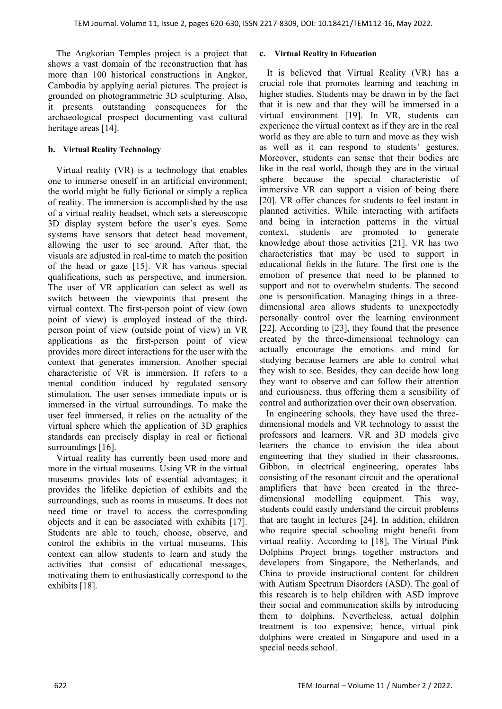The Angkorian Temples project is a project that shows a vast domain of the reconstruction that has more than 100 historical constructions in Angkor, Cambodia by applying aerial pictures. The project is grounded on photogrammetric 3D sculpturing. Also, it presents outstanding consequences for the archaeological prospect documenting vast cultural heritage areas [14].

## **b. Virtual Reality Technology**

Virtual reality (VR) is a technology that enables one to immerse oneself in an artificial environment; the world might be fully fictional or simply a replica of reality. The immersion is accomplished by the use of a virtual reality headset, which sets a stereoscopic 3D display system before the user's eyes. Some systems have sensors that detect head movement, allowing the user to see around. After that, the visuals are adjusted in real-time to match the position of the head or gaze [15]. VR has various special qualifications, such as perspective, and immersion. The user of VR application can select as well as switch between the viewpoints that present the virtual context. The first-person point of view (own point of view) is employed instead of the thirdperson point of view (outside point of view) in VR applications as the first-person point of view provides more direct interactions for the user with the context that generates immersion. Another special characteristic of VR is immersion. It refers to a mental condition induced by regulated sensory stimulation. The user senses immediate inputs or is immersed in the virtual surroundings. To make the user feel immersed, it relies on the actuality of the virtual sphere which the application of 3D graphics standards can precisely display in real or fictional surroundings [16].

Virtual reality has currently been used more and more in the virtual museums. Using VR in the virtual museums provides lots of essential advantages; it provides the lifelike depiction of exhibits and the surroundings, such as rooms in museums. It does not need time or travel to access the corresponding objects and it can be associated with exhibits [17]. Students are able to touch, choose, observe, and control the exhibits in the virtual museums. This context can allow students to learn and study the activities that consist of educational messages, motivating them to enthusiastically correspond to the exhibits [18].

#### **c. Virtual Reality in Education**

 It is believed that Virtual Reality (VR) has a crucial role that promotes learning and teaching in higher studies. Students may be drawn in by the fact that it is new and that they will be immersed in a virtual environment [19]. In VR, students can experience the virtual context as if they are in the real world as they are able to turn and move as they wish as well as it can respond to students' gestures. Moreover, students can sense that their bodies are like in the real world, though they are in the virtual sphere because the special characteristic of immersive VR can support a vision of being there [20]. VR offer chances for students to feel instant in planned activities. While interacting with artifacts and being in interaction patterns in the virtual context, students are promoted to generate knowledge about those activities [21]. VR has two characteristics that may be used to support in educational fields in the future. The first one is the emotion of presence that need to be planned to support and not to overwhelm students. The second one is personification. Managing things in a threedimensional area allows students to unexpectedly personally control over the learning environment [22]. According to [23], they found that the presence created by the three-dimensional technology can actually encourage the emotions and mind for studying because learners are able to control what they wish to see. Besides, they can decide how long they want to observe and can follow their attention and curiousness, thus offering them a sensibility of control and authorization over their own observation.

 In engineering schools, they have used the threedimensional models and VR technology to assist the professors and learners. VR and 3D models give learners the chance to envision the idea about engineering that they studied in their classrooms. Gibbon, in electrical engineering, operates labs consisting of the resonant circuit and the operational amplifiers that have been created in the threedimensional modelling equipment. This way, students could easily understand the circuit problems that are taught in lectures [24]. In addition, children who require special schooling might benefit from virtual reality. According to [18], The Virtual Pink Dolphins Project brings together instructors and developers from Singapore, the Netherlands, and China to provide instructional content for children with Autism Spectrum Disorders (ASD). The goal of this research is to help children with ASD improve their social and communication skills by introducing them to dolphins. Nevertheless, actual dolphin treatment is too expensive; hence, virtual pink dolphins were created in Singapore and used in a special needs school.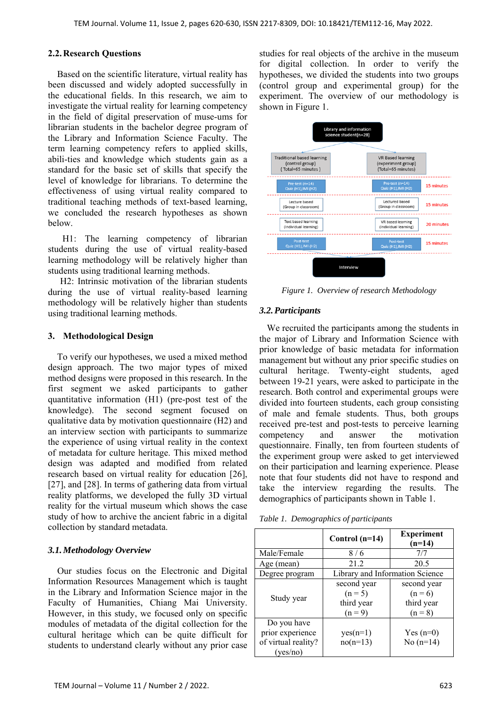### **2.2.Research Questions**

 Based on the scientific literature, virtual reality has been discussed and widely adopted successfully in the educational fields. In this research, we aim to investigate the virtual reality for learning competency in the field of digital preservation of muse-ums for librarian students in the bachelor degree program of the Library and Information Science Faculty. The term learning competency refers to applied skills, abili-ties and knowledge which students gain as a standard for the basic set of skills that specify the level of knowledge for librarians. To determine the effectiveness of using virtual reality compared to traditional teaching methods of text-based learning, we concluded the research hypotheses as shown below.

 H1: The learning competency of librarian students during the use of virtual reality-based learning methodology will be relatively higher than students using traditional learning methods.

 H2: Intrinsic motivation of the librarian students during the use of virtual reality-based learning methodology will be relatively higher than students using traditional learning methods.

### **3. Methodological Design**

 To verify our hypotheses, we used a mixed method design approach. The two major types of mixed method designs were proposed in this research. In the first segment we asked participants to gather quantitative information (H1) (pre-post test of the knowledge). The second segment focused on qualitative data by motivation questionnaire (H2) and an interview section with participants to summarize the experience of using virtual reality in the context of metadata for culture heritage. This mixed method design was adapted and modified from related research based on virtual reality for education [26], [27], and [28]. In terms of gathering data from virtual reality platforms, we developed the fully 3D virtual reality for the virtual museum which shows the case study of how to archive the ancient fabric in a digital collection by standard metadata.

## *3.1.Methodology Overview*

 Our studies focus on the Electronic and Digital Information Resources Management which is taught in the Library and Information Science major in the Faculty of Humanities, Chiang Mai University. However, in this study, we focused only on specific modules of metadata of the digital collection for the cultural heritage which can be quite difficult for students to understand clearly without any prior case studies for real objects of the archive in the museum for digital collection. In order to verify the hypotheses, we divided the students into two groups (control group and experimental group) for the experiment. The overview of our methodology is shown in Figure 1.



*Figure 1. Overview of research Methodology*

## *3.2.Participants*

We recruited the participants among the students in the major of Library and Information Science with prior knowledge of basic metadata for information management but without any prior specific studies on cultural heritage. Twenty-eight students, aged between 19-21 years, were asked to participate in the research. Both control and experimental groups were divided into fourteen students, each group consisting of male and female students. Thus, both groups received pre-test and post-tests to perceive learning competency and answer the motivation questionnaire. Finally, ten from fourteen students of the experiment group were asked to get interviewed on their participation and learning experience. Please note that four students did not have to respond and take the interview regarding the results. The demographics of participants shown in Table 1.

*Table 1. Demographics of participants* 

|                                                                    | Control $(n=14)$                | <b>Experiment</b><br>$(n=14)$ |
|--------------------------------------------------------------------|---------------------------------|-------------------------------|
| Male/Female                                                        | 8/6                             | 7/7                           |
| Age (mean)                                                         | 21.2                            | 20.5                          |
| Degree program                                                     | Library and Information Science |                               |
|                                                                    | second year<br>$(n = 5)$        | second year<br>$(n = 6)$      |
| Study year                                                         | third year<br>$(n = 9)$         | third year<br>$(n = 8)$       |
| Do you have<br>prior experience<br>of virtual reality?<br>(yes/no) | $yes(n=1)$<br>$no(n=13)$        | Yes $(n=0)$<br>No $(n=14)$    |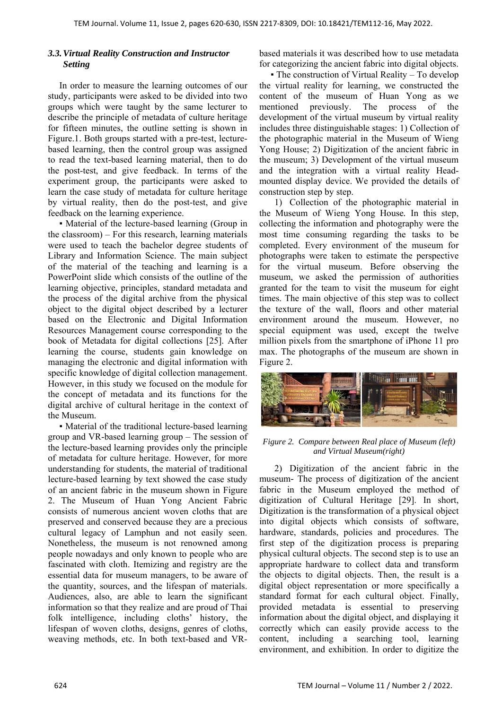## *3.3.Virtual Reality Construction and Instructor Setting*

 In order to measure the learning outcomes of our study, participants were asked to be divided into two groups which were taught by the same lecturer to describe the principle of metadata of culture heritage for fifteen minutes, the outline setting is shown in Figure.1. Both groups started with a pre-test, lecturebased learning, then the control group was assigned to read the text-based learning material, then to do the post-test, and give feedback. In terms of the experiment group, the participants were asked to learn the case study of metadata for culture heritage by virtual reality, then do the post-test, and give feedback on the learning experience.

• Material of the lecture-based learning (Group in the classroom)  $-$  For this research, learning materials were used to teach the bachelor degree students of Library and Information Science. The main subject of the material of the teaching and learning is a PowerPoint slide which consists of the outline of the learning objective, principles, standard metadata and the process of the digital archive from the physical object to the digital object described by a lecturer based on the Electronic and Digital Information Resources Management course corresponding to the book of Metadata for digital collections [25]. After learning the course, students gain knowledge on managing the electronic and digital information with specific knowledge of digital collection management. However, in this study we focused on the module for the concept of metadata and its functions for the digital archive of cultural heritage in the context of the Museum.

• Material of the traditional lecture-based learning group and VR-based learning group  $-$  The session of the lecture-based learning provides only the principle of metadata for culture heritage. However, for more understanding for students, the material of traditional lecture-based learning by text showed the case study of an ancient fabric in the museum shown in Figure 2. The Museum of Huan Yong Ancient Fabric consists of numerous ancient woven cloths that are preserved and conserved because they are a precious cultural legacy of Lamphun and not easily seen. Nonetheless, the museum is not renowned among people nowadays and only known to people who are fascinated with cloth. Itemizing and registry are the essential data for museum managers, to be aware of the quantity, sources, and the lifespan of materials. Audiences, also, are able to learn the significant information so that they realize and are proud of Thai folk intelligence, including cloths' history, the lifespan of woven cloths, designs, genres of cloths, weaving methods, etc. In both text-based and VR-

based materials it was described how to use metadata for categorizing the ancient fabric into digital objects.

• The construction of Virtual Reality – To develop the virtual reality for learning, we constructed the content of the museum of Huan Yong as we mentioned previously. The process of the development of the virtual museum by virtual reality includes three distinguishable stages: 1) Collection of the photographic material in the Museum of Wieng Yong House; 2) Digitization of the ancient fabric in the museum; 3) Development of the virtual museum and the integration with a virtual reality Headmounted display device. We provided the details of construction step by step.

1) Collection of the photographic material in the Museum of Wieng Yong House*.* In this step, collecting the information and photography were the most time consuming regarding the tasks to be completed. Every environment of the museum for photographs were taken to estimate the perspective for the virtual museum. Before observing the museum, we asked the permission of authorities granted for the team to visit the museum for eight times. The main objective of this step was to collect the texture of the wall, floors and other material environment around the museum. However, no special equipment was used, except the twelve million pixels from the smartphone of iPhone 11 pro max. The photographs of the museum are shown in Figure 2.



#### *Figure 2. Compare between Real place of Museum (left) and Virtual Museum(right)*

2) Digitization of the ancient fabric in the museum*-* The process of digitization of the ancient fabric in the Museum employed the method of digitization of Cultural Heritage [29]. In short, Digitization is the transformation of a physical object into digital objects which consists of software, hardware, standards, policies and procedures. The first step of the digitization process is preparing physical cultural objects. The second step is to use an appropriate hardware to collect data and transform the objects to digital objects. Then, the result is a digital object representation or more specifically a standard format for each cultural object. Finally, provided metadata is essential to preserving information about the digital object, and displaying it correctly which can easily provide access to the content, including a searching tool, learning environment, and exhibition. In order to digitize the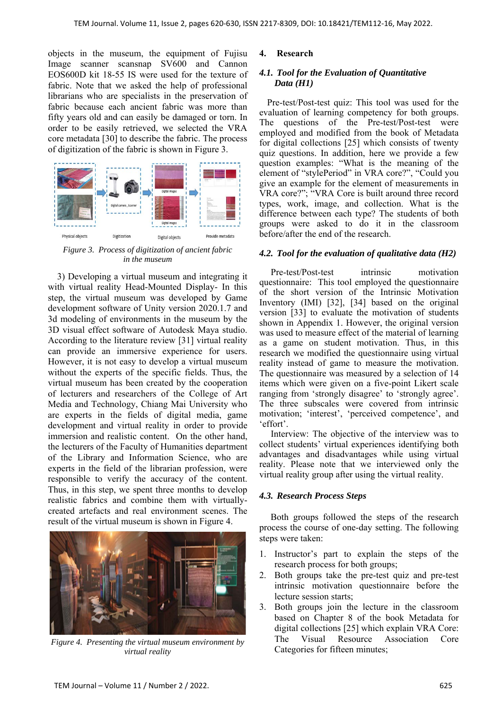objects in the museum, the equipment of Fujisu Image scanner scansnap SV600 and Cannon EOS600D kit 18-55 IS were used for the texture of fabric. Note that we asked the help of professional librarians who are specialists in the preservation of fabric because each ancient fabric was more than fifty years old and can easily be damaged or torn. In order to be easily retrieved, we selected the VRA core metadata [30] to describe the fabric. The process of digitization of the fabric is shown in Figure 3.



*Figure 3. Process of digitization of ancient fabric in the museum* 

3) Developing a virtual museum and integrating it with virtual reality Head-Mounted Display- In this step, the virtual museum was developed by Game development software of Unity version 2020.1.7 and 3d modeling of environments in the museum by the 3D visual effect software of Autodesk Maya studio. According to the literature review [31] virtual reality can provide an immersive experience for users. However, it is not easy to develop a virtual museum without the experts of the specific fields. Thus, the virtual museum has been created by the cooperation of lecturers and researchers of the College of Art Media and Technology, Chiang Mai University who are experts in the fields of digital media, game development and virtual reality in order to provide immersion and realistic content. On the other hand, the lecturers of the Faculty of Humanities department of the Library and Information Science, who are experts in the field of the librarian profession, were responsible to verify the accuracy of the content. Thus, in this step, we spent three months to develop realistic fabrics and combine them with virtuallycreated artefacts and real environment scenes. The result of the virtual museum is shown in Figure 4.



*Figure 4. Presenting the virtual museum environment by virtual reality* 

#### **4. Research**

#### *4.1. Tool for the Evaluation of Quantitative Data (H1)*

Pre-test/Post-test quiz: This tool was used for the evaluation of learning competency for both groups. The questions of the Pre-test/Post-test were employed and modified from the book of Metadata for digital collections [25] which consists of twenty quiz questions. In addition, here we provide a few question examples: "What is the meaning of the element of "stylePeriod" in VRA core?", "Could you give an example for the element of measurements in VRA core?"; "VRA Core is built around three record types, work, image, and collection. What is the difference between each type? The students of both groups were asked to do it in the classroom before/after the end of the research.

#### *4.2. Tool for the evaluation of qualitative data (H2)*

Pre-test/Post-test intrinsic motivation questionnaire: This tool employed the questionnaire of the short version of the Intrinsic Motivation Inventory (IMI) [32], [34] based on the original version [33] to evaluate the motivation of students shown in Appendix 1. However, the original version was used to measure effect of the material of learning as a game on student motivation. Thus, in this research we modified the questionnaire using virtual reality instead of game to measure the motivation. The questionnaire was measured by a selection of 14 items which were given on a five-point Likert scale ranging from 'strongly disagree' to 'strongly agree'. The three subscales were covered from intrinsic motivation; 'interest', 'perceived competence', and 'effort'.

Interview: The objective of the interview was to collect students' virtual experiences identifying both advantages and disadvantages while using virtual reality. Please note that we interviewed only the virtual reality group after using the virtual reality.

#### *4.3. Research Process Steps*

 Both groups followed the steps of the research process the course of one-day setting. The following steps were taken:

- 1. Instructor's part to explain the steps of the research process for both groups;
- 2. Both groups take the pre-test quiz and pre-test intrinsic motivation questionnaire before the lecture session starts;
- 3. Both groups join the lecture in the classroom based on Chapter 8 of the book Metadata for digital collections [25] which explain VRA Core: The Visual Resource Association Core Categories for fifteen minutes;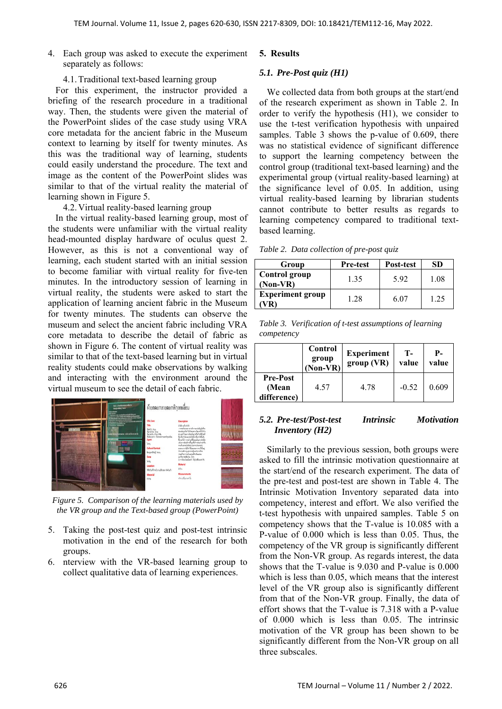4. Each group was asked to execute the experiment separately as follows:

## 4.1.Traditional text-based learning group

For this experiment, the instructor provided a briefing of the research procedure in a traditional way. Then, the students were given the material of the PowerPoint slides of the case study using VRA core metadata for the ancient fabric in the Museum context to learning by itself for twenty minutes. As this was the traditional way of learning, students could easily understand the procedure. The text and image as the content of the PowerPoint slides was similar to that of the virtual reality the material of learning shown in Figure 5.

4.2.Virtual reality-based learning group

In the virtual reality-based learning group, most of the students were unfamiliar with the virtual reality head-mounted display hardware of oculus quest 2. However, as this is not a conventional way of learning, each student started with an initial session to become familiar with virtual reality for five-ten minutes. In the introductory session of learning in virtual reality, the students were asked to start the application of learning ancient fabric in the Museum for twenty minutes. The students can observe the museum and select the ancient fabric including VRA core metadata to describe the detail of fabric as shown in Figure 6. The content of virtual reality was similar to that of the text-based learning but in virtual reality students could make observations by walking and interacting with the environment around the virtual museum to see the detail of each fabric.



*Figure 5. Comparison of the learning materials used by the VR group and the Text-based group (PowerPoint)* 

- 5. Taking the post-test quiz and post-test intrinsic motivation in the end of the research for both groups.
- 6. nterview with the VR-based learning group to collect qualitative data of learning experiences.

## **5. Results**

## *5.1. Pre-Post quiz (H1)*

 We collected data from both groups at the start/end of the research experiment as shown in Table 2. In order to verify the hypothesis (H1), we consider to use the t-test verification hypothesis with unpaired samples. Table 3 shows the p-value of 0.609, there was no statistical evidence of significant difference to support the learning competency between the control group (traditional text-based learning) and the experimental group (virtual reality-based learning) at the significance level of 0.05. In addition, using virtual reality-based learning by librarian students cannot contribute to better results as regards to learning competency compared to traditional textbased learning.

*Table 2. Data collection of pre-post quiz* 

| Group                              | Pre-test | Post-test | <b>SD</b> |
|------------------------------------|----------|-----------|-----------|
| <b>Control</b> group<br>$(Non-VR)$ | 1.35     | 5.92      | 1.08      |
| <b>Experiment group</b>            | 1.28     | 6.07      | 1.25      |

|            | Table 3. Verification of t-test assumptions of learning |
|------------|---------------------------------------------------------|
| competency |                                                         |

|                                         | Control<br>group<br>$(Non-VR)$ | <b>Experiment</b><br>group (VR) | Т-<br>value | Р-<br>value |
|-----------------------------------------|--------------------------------|---------------------------------|-------------|-------------|
| <b>Pre-Post</b><br>(Mean<br>difference) | 4.57                           | 4.78                            | $-0.52$     | 0.609       |

## *5.2. Pre-test/Post-test Intrinsic Motivation Inventory (H2)*

Similarly to the previous session, both groups were asked to fill the intrinsic motivation questionnaire at the start/end of the research experiment. The data of the pre-test and post-test are shown in Table 4. The Intrinsic Motivation Inventory separated data into competency, interest and effort. We also verified the t-test hypothesis with unpaired samples. Table 5 on competency shows that the T-value is 10.085 with a P-value of 0.000 which is less than 0.05. Thus, the competency of the VR group is significantly different from the Non-VR group. As regards interest, the data shows that the T-value is 9.030 and P-value is 0.000 which is less than 0.05, which means that the interest level of the VR group also is significantly different from that of the Non-VR group. Finally, the data of effort shows that the T-value is 7.318 with a P-value of 0.000 which is less than 0.05. The intrinsic motivation of the VR group has been shown to be significantly different from the Non-VR group on all three subscales.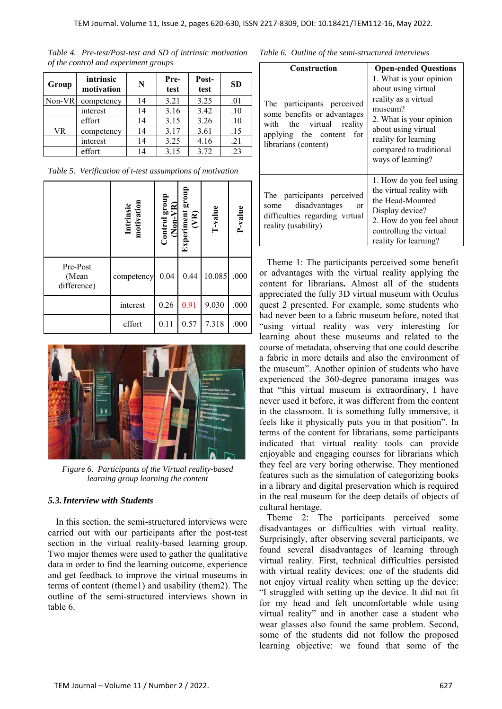| Table 4. Pre-test/Post-test and SD of intrinsic motivation |
|------------------------------------------------------------|
| of the control and experiment groups                       |

| Group     | intrinsic<br>motivation | N  | Pre-<br>test | Post-<br>test | <b>SD</b> |
|-----------|-------------------------|----|--------------|---------------|-----------|
| Non-VR    | competency              | 14 | 3.21         | 3.25          | .01       |
|           | interest                | 14 | 3.16         | 3.42          | .10       |
|           | effort                  | 14 | 3.15         | 3.26          | .10       |
| <b>VR</b> | competency              | 14 | 3.17         | 3.61          | .15       |
|           | interest                | 14 | 3.25         | 4.16          | .21       |
|           | effort                  | 14 | 3.15         | 3.72          | .23       |

*Table 5. Verification of t-test assumptions of motivation* 

|                                  | Intrinsic<br>motivation | Control group<br>(Non-VR) | Experiment group<br>$\widetilde{(\mathsf{X})}$ | T-value | P-value |
|----------------------------------|-------------------------|---------------------------|------------------------------------------------|---------|---------|
| Pre-Post<br>(Mean<br>difference) | competency              | 0.04                      | 0.44                                           | 10.085  | .000    |
|                                  | interest                | 0.26                      | 0.91                                           | 9.030   | .000    |
|                                  | effort                  | 0.11                      | 0.57                                           | 7.318   | .000    |



*Figure 6. Participants of the Virtual reality-based learning group learning the content* 

## *5.3.Interview with Students*

In this section, the semi-structured interviews were carried out with our participants after the post-test section in the virtual reality-based learning group. Two major themes were used to gather the qualitative data in order to find the learning outcome, experience and get feedback to improve the virtual museums in terms of content (theme1) and usability (them2). The outline of the semi-structured interviews shown in table 6.

| Table 6. Outline of the semi-structured interviews |
|----------------------------------------------------|
|----------------------------------------------------|

| Construction                                                                                                                                    | <b>Open-ended Questions</b>                                                                                                                                                                                 |
|-------------------------------------------------------------------------------------------------------------------------------------------------|-------------------------------------------------------------------------------------------------------------------------------------------------------------------------------------------------------------|
| The participants perceived<br>some benefits or advantages<br>the virtual reality<br>with<br>applying the content<br>for<br>librarians (content) | 1. What is your opinion<br>about using virtual<br>reality as a virtual<br>museum?<br>2. What is your opinion<br>about using virtual<br>reality for learning<br>compared to traditional<br>ways of learning? |
| The participants perceived<br>disadvantages<br>some<br><b>or</b><br>difficulties regarding virtual<br>reality (usability)                       | 1. How do you feel using<br>the virtual reality with<br>the Head-Mounted<br>Display device?<br>2. How do you feel about<br>controlling the virtual<br>reality for learning?                                 |

Theme 1: The participants perceived some benefit or advantages with the virtual reality applying the content for librarians**.** Almost all of the students appreciated the fully 3D virtual museum with Oculus quest 2 presented. For example, some students who had never been to a fabric museum before, noted that "using virtual reality was very interesting for learning about these museums and related to the course of metadata, observing that one could describe a fabric in more details and also the environment of the museum". Another opinion of students who have experienced the 360-degree panorama images was that "this virtual museum is extraordinary, I have never used it before, it was different from the content in the classroom. It is something fully immersive, it feels like it physically puts you in that position". In terms of the content for librarians, some participants indicated that virtual reality tools can provide enjoyable and engaging courses for librarians which they feel are very boring otherwise. They mentioned features such as the simulation of categorizing books in a library and digital preservation which is required in the real museum for the deep details of objects of cultural heritage.

Theme 2: The participants perceived some disadvantages or difficulties with virtual reality. Surprisingly, after observing several participants, we found several disadvantages of learning through virtual reality. First, technical difficulties persisted with virtual reality devices: one of the students did not enjoy virtual reality when setting up the device: "I struggled with setting up the device. It did not fit for my head and felt uncomfortable while using virtual reality" and in another case a student who wear glasses also found the same problem. Second, some of the students did not follow the proposed learning objective: we found that some of the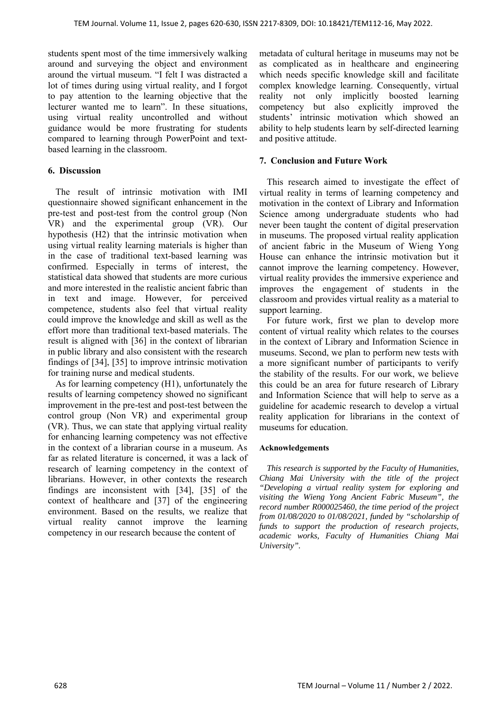students spent most of the time immersively walking around and surveying the object and environment around the virtual museum. "I felt I was distracted a lot of times during using virtual reality, and I forgot to pay attention to the learning objective that the lecturer wanted me to learn". In these situations, using virtual reality uncontrolled and without guidance would be more frustrating for students compared to learning through PowerPoint and textbased learning in the classroom.

## **6. Discussion**

The result of intrinsic motivation with IMI questionnaire showed significant enhancement in the pre-test and post-test from the control group (Non VR) and the experimental group (VR). Our hypothesis (H2) that the intrinsic motivation when using virtual reality learning materials is higher than in the case of traditional text-based learning was confirmed. Especially in terms of interest, the statistical data showed that students are more curious and more interested in the realistic ancient fabric than in text and image. However, for perceived competence, students also feel that virtual reality could improve the knowledge and skill as well as the effort more than traditional text-based materials. The result is aligned with [36] in the context of librarian in public library and also consistent with the research findings of [34], [35] to improve intrinsic motivation for training nurse and medical students.

As for learning competency (H1), unfortunately the results of learning competency showed no significant improvement in the pre-test and post-test between the control group (Non VR) and experimental group (VR). Thus, we can state that applying virtual reality for enhancing learning competency was not effective in the context of a librarian course in a museum. As far as related literature is concerned, it was a lack of research of learning competency in the context of librarians. However, in other contexts the research findings are inconsistent with [34], [35] of the context of healthcare and [37] of the engineering environment. Based on the results, we realize that virtual reality cannot improve the learning competency in our research because the content of

metadata of cultural heritage in museums may not be as complicated as in healthcare and engineering which needs specific knowledge skill and facilitate complex knowledge learning. Consequently, virtual reality not only implicitly boosted learning competency but also explicitly improved the students' intrinsic motivation which showed an ability to help students learn by self-directed learning and positive attitude.

## **7. Conclusion and Future Work**

This research aimed to investigate the effect of virtual reality in terms of learning competency and motivation in the context of Library and Information Science among undergraduate students who had never been taught the content of digital preservation in museums. The proposed virtual reality application of ancient fabric in the Museum of Wieng Yong House can enhance the intrinsic motivation but it cannot improve the learning competency. However, virtual reality provides the immersive experience and improves the engagement of students in the classroom and provides virtual reality as a material to support learning.

For future work, first we plan to develop more content of virtual reality which relates to the courses in the context of Library and Information Science in museums. Second, we plan to perform new tests with a more significant number of participants to verify the stability of the results. For our work, we believe this could be an area for future research of Library and Information Science that will help to serve as a guideline for academic research to develop a virtual reality application for librarians in the context of museums for education.

#### **Acknowledgements**

*This research is supported by the Faculty of Humanities, Chiang Mai University with the title of the project "Developing a virtual reality system for exploring and visiting the Wieng Yong Ancient Fabric Museum", the record number R000025460, the time period of the project from 01/08/2020 to 01/08/2021, funded by "scholarship of funds to support the production of research projects, academic works, Faculty of Humanities Chiang Mai University".*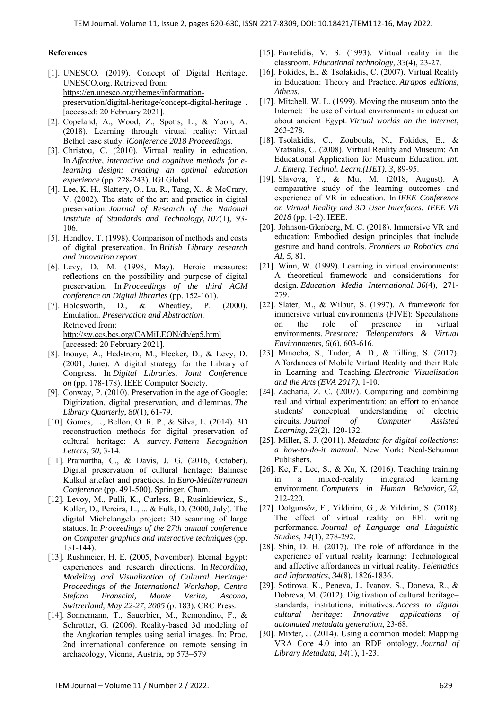#### **References**

- [1]. UNESCO. (2019). Concept of Digital Heritage. UNESCO.org. Retrieved from: https://en.unesco.org/themes/informationpreservation/digital-heritage/concept-digital-heritage . [accessed: 20 February 2021].
- [2]. Copeland, A., Wood, Z., Spotts, L., & Yoon, A. (2018). Learning through virtual reality: Virtual Bethel case study. *iConference 2018 Proceedings*.
- [3]. Christou, C. (2010). Virtual reality in education. In *Affective, interactive and cognitive methods for elearning design: creating an optimal education experience* (pp. 228-243). IGI Global.
- [4]. Lee, K. H., Slattery, O., Lu, R., Tang, X., & McCrary, V. (2002). The state of the art and practice in digital preservation. *Journal of Research of the National Institute of Standards and Technology*, *107*(1), 93- 106.
- [5]. Hendley, T. (1998). Comparison of methods and costs of digital preservation. In *British Library research and innovation report*.
- [6]. Levy, D. M. (1998, May). Heroic measures: reflections on the possibility and purpose of digital preservation. In *Proceedings of the third ACM conference on Digital libraries* (pp. 152-161).
- [7]. Holdsworth, D., & Wheatley, P. (2000). Emulation. *Preservation and Abstraction*. Retrieved from: http://sw.ccs.bcs.org/CAMiLEON/dh/ep5.html [accessed: 20 February 2021].
- [8]. Inouye, A., Hedstrom, M., Flecker, D., & Levy, D. (2001, June). A digital strategy for the Library of Congress. In *Digital Libraries, Joint Conference on* (pp. 178-178). IEEE Computer Society.
- [9]. Conway, P. (2010). Preservation in the age of Google: Digitization, digital preservation, and dilemmas. *The Library Quarterly*, *80*(1), 61-79.
- [10]. Gomes, L., Bellon, O. R. P., & Silva, L. (2014). 3D reconstruction methods for digital preservation of cultural heritage: A survey. *Pattern Recognition Letters*, *50*, 3-14.
- [11]. Pramartha, C., & Davis, J. G. (2016, October). Digital preservation of cultural heritage: Balinese Kulkul artefact and practices. In *Euro-Mediterranean Conference* (pp. 491-500). Springer, Cham.
- [12]. Levoy, M., Pulli, K., Curless, B., Rusinkiewicz, S., Koller, D., Pereira, L., ... & Fulk, D. (2000, July). The digital Michelangelo project: 3D scanning of large statues. In *Proceedings of the 27th annual conference on Computer graphics and interactive techniques* (pp. 131-144).
- [13]. Rushmeier, H. E. (2005, November). Eternal Egypt: experiences and research directions. In *Recording, Modeling and Visualization of Cultural Heritage: Proceedings of the International Workshop, Centro Stefano Franscini, Monte Verita, Ascona, Switzerland, May 22-27, 2005* (p. 183). CRC Press.
- [14]. Sonnemann, T., Sauerbier, M., Remondino, F., & Schrotter, G. (2006). Reality-based 3d modeling of the Angkorian temples using aerial images. In: Proc. 2nd international conference on remote sensing in archaeology, Vienna, Austria, pp 573–579
- [15]. Pantelidis, V. S. (1993). Virtual reality in the classroom. *Educational technology*, *33*(4), 23-27.
- [16]. Fokides, E., & Tsolakidis, C. (2007). Virtual Reality in Education: Theory and Practice. *Atrapos editions, Athens*.
- [17]. Mitchell, W. L. (1999). Moving the museum onto the Internet: The use of virtual environments in education about ancient Egypt. *Virtual worlds on the Internet*, 263-278.
- [18]. Tsolakidis, C., Zouboula, N., Fokides, E., & Vratsalis, C. (2008). Virtual Reality and Museum: An Educational Application for Museum Education. *Int. J. Emerg. Technol. Learn.(IJET)*, *3*, 89-95.
- [19]. Slavova, Y., & Mu, M. (2018, August). A comparative study of the learning outcomes and experience of VR in education. In *IEEE Conference on Virtual Reality and 3D User Interfaces: IEEE VR 2018* (pp. 1-2). IEEE.
- [20]. Johnson-Glenberg, M. C. (2018). Immersive VR and education: Embodied design principles that include gesture and hand controls. *Frontiers in Robotics and AI*, *5*, 81.
- [21]. Winn, W. (1999). Learning in virtual environments: A theoretical framework and considerations for design. *Education Media International*, *36*(4), 271- 279.
- [22]. Slater, M., & Wilbur, S. (1997). A framework for immersive virtual environments (FIVE): Speculations on the role of presence in virtual environments. *Presence: Teleoperators & Virtual Environments*, *6*(6), 603-616.
- [23]. Minocha, S., Tudor, A. D., & Tilling, S. (2017). Affordances of Mobile Virtual Reality and their Role in Learning and Teaching. *Electronic Visualisation and the Arts (EVA 2017)*, 1-10.
- [24]. Zacharia, Z. C. (2007). Comparing and combining real and virtual experimentation: an effort to enhance students' conceptual understanding of electric circuits. *Journal of Computer Assisted Learning*, *23*(2), 120-132.
- [25]. Miller, S. J. (2011). *Metadata for digital collections: a how-to-do-it manual*. New York: Neal-Schuman Publishers.
- [26]. Ke, F., Lee, S., & Xu, X. (2016). Teaching training in a mixed-reality integrated learning environment. *Computers in Human Behavior*, *62*, 212-220.
- [27]. Dolgunsöz, E., Yildirim, G., & Yildirim, S. (2018). The effect of virtual reality on EFL writing performance. *Journal of Language and Linguistic Studies*, *14*(1), 278-292.
- [28]. Shin, D. H. (2017). The role of affordance in the experience of virtual reality learning: Technological and affective affordances in virtual reality. *Telematics and Informatics*, *34*(8), 1826-1836.
- [29]. Sotirova, K., Peneva, J., Ivanov, S., Doneva, R., & Dobreva, M. (2012). Digitization of cultural heritage– standards, institutions, initiatives. *Access to digital cultural heritage: Innovative applications of automated metadata generation*, 23-68.
- [30]. Mixter, J. (2014). Using a common model: Mapping VRA Core 4.0 into an RDF ontology. *Journal of Library Metadata*, *14*(1), 1-23.